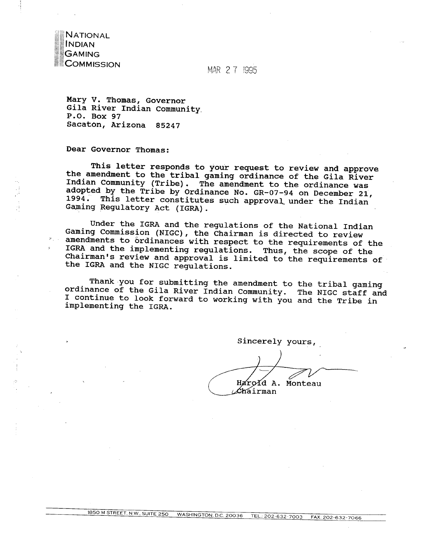**NATIONAL INDIAN SAMING COMMISSION** 

MAR 2 7 1995

Mary V. Thomas, Governor Gila River Indian Community P.O. Box 97 Sacaton, Arizona 85247

Dear Governor Thomas:

This letter responds to your request to review and approve the amendment to the tribal gaming ordinance of the Gila River Indian Community (Tribe). The amendment to the ordinance was adopted by the Tribe by Ordinance No. GR-07-94 on December 21, 1994. This letter constitutes such approval under the Indian Jaming Regulatory Act (IGRA).

Under the IGRA and the regulations of the National Indian Gaming Commission (NIGC), the Chairman is directed to review amendments to ordinances with respect to the requirements of the **IGRA** and the implementing regulations. Thus, the scope of the Chairman's review and approval is limited to the requirements of the IGRA and the NIGC regulations.

Thank you for submitting the amendment to the tribal gaming ordinance of the Gila River Indian Community. The **NIGC** staff and I continue to look forward to working with you and the Tribe in implementing the **IGRA.** 

Sincerely yours,

Harold A. Monteau *Chairman* 

1850 M STREET. **N.W.. SUITE** 250 **WASHINGTON. D.C.** 20036 **TEL.:** 202-632-7003 **FAX:** 202-6z-7066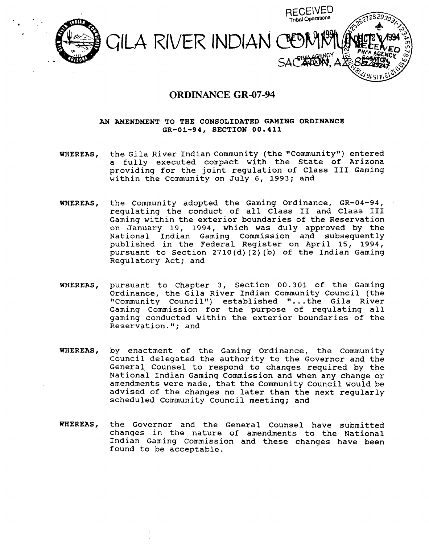

## **ORDINANCE GR-07-94**

## **AN AMENDMENT TO THE CONSOLIDATED GAMING ORDINANCE GR-01-94, SECTION 00.411**

- WHEREAS, the Gila River Indian Community (the "Community") entered a fully executed compact with the State of Arizona providing for the joint regulation of Class I11 Gaming within the Community on July 6, 1993; and
- **WHEREAS,** the Community adopted the Gaming Ordinance, GR-04-94, regulating the conduct of all Class I1 and Class **I11**  Gaming within the exterior boundaries of the Reservation on January 19, 1994, which was duly approved by the National Indian Gaming Commission and subsequently published in the Federal Register on April 15, 1994, pursuant to Section **2710(d)** (2) (b) of the Indian Gaming Regulatory Act; and
- **WHEREAS,** pursuant to Chapter 3, Section 00.301 of the Gaming Ordinance, the Gila River Indian Community Council (the "Community Council") established "...the Gila River Gaming Commission for the purpose of regulating all gaming conducted within the exterior boundaries of the<br>Reservation."; and
- **WHEREAS,** by enactment of the Gaming Ordinance, the community Council delegated the authority to the Governor and the General Counsel to respond to changes required by the National Indian Gaming Commission and when any change or amendments were made, that the Community Council would be advised of the changes no later than the next regularly scheduled Community Council meeting; and
- WHEREAS, the Governor and the General Counsel have submitted changes in the nature of amendments to the National Indian Gaming Commission and these changes have been found to be acceptable.